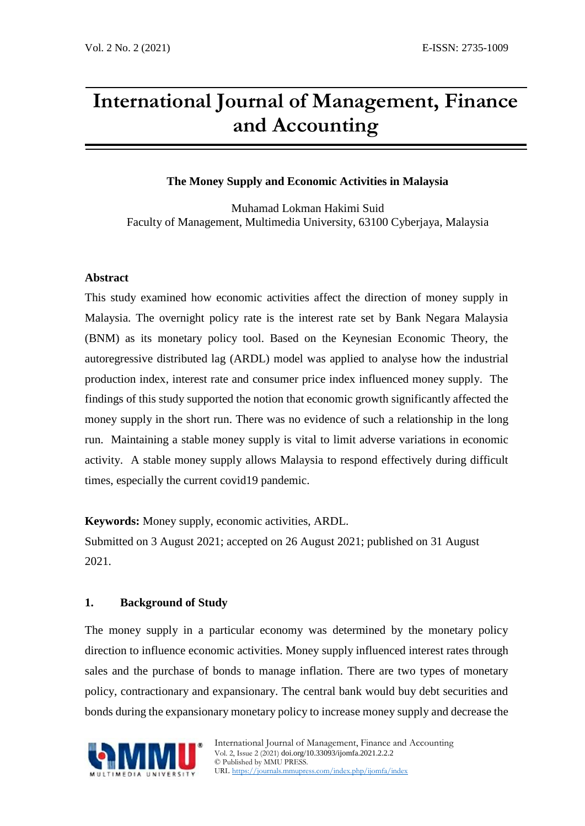# **International Journal of Management, Finance and Accounting**

# **The Money Supply and Economic Activities in Malaysia**

Muhamad Lokman Hakimi Suid Faculty of Management, Multimedia University, 63100 Cyberjaya, Malaysia

## **Abstract**

This study examined how economic activities affect the direction of money supply in Malaysia. The overnight policy rate is the interest rate set by Bank Negara Malaysia (BNM) as its monetary policy tool. Based on the Keynesian Economic Theory, the autoregressive distributed lag (ARDL) model was applied to analyse how the industrial production index, interest rate and consumer price index influenced money supply. The findings of this study supported the notion that economic growth significantly affected the money supply in the short run. There was no evidence of such a relationship in the long run. Maintaining a stable money supply is vital to limit adverse variations in economic activity. A stable money supply allows Malaysia to respond effectively during difficult times, especially the current covid19 pandemic.

**Keywords:** Money supply, economic activities, ARDL.

Submitted on 3 August 2021; accepted on 26 August 2021; published on 31 August 2021.

# **1. Background of Study**

The money supply in a particular economy was determined by the monetary policy direction to influence economic activities. Money supply influenced interest rates through sales and the purchase of bonds to manage inflation. There are two types of monetary policy, contractionary and expansionary. The central bank would buy debt securities and bonds during the expansionary monetary policy to increase money supply and decrease the

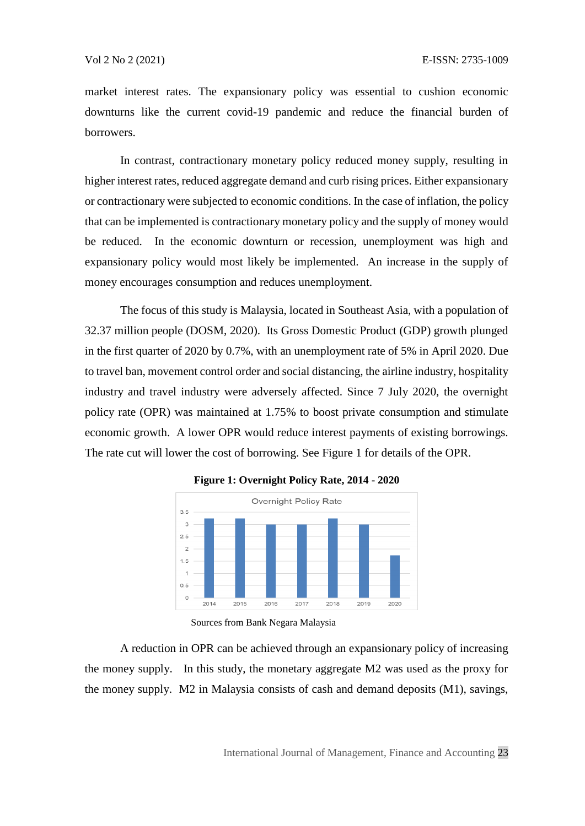market interest rates. The expansionary policy was essential to cushion economic downturns like the current covid-19 pandemic and reduce the financial burden of borrowers.

In contrast, contractionary monetary policy reduced money supply, resulting in higher interest rates, reduced aggregate demand and curb rising prices. Either expansionary or contractionary were subjected to economic conditions. In the case of inflation, the policy that can be implemented is contractionary monetary policy and the supply of money would be reduced. In the economic downturn or recession, unemployment was high and expansionary policy would most likely be implemented. An increase in the supply of money encourages consumption and reduces unemployment.

The focus of this study is Malaysia, located in Southeast Asia, with a population of 32.37 million people (DOSM, 2020). Its Gross Domestic Product (GDP) growth plunged in the first quarter of 2020 by 0.7%, with an unemployment rate of 5% in April 2020. Due to travel ban, movement control order and social distancing, the airline industry, hospitality industry and travel industry were adversely affected. Since 7 July 2020, the overnight policy rate (OPR) was maintained at 1.75% to boost private consumption and stimulate economic growth. A lower OPR would reduce interest payments of existing borrowings. The rate cut will lower the cost of borrowing. See Figure 1 for details of the OPR.



**Figure 1: Overnight Policy Rate, 2014 - 2020** 

Sources from Bank Negara Malaysia

A reduction in OPR can be achieved through an expansionary policy of increasing the money supply. In this study, the monetary aggregate M2 was used as the proxy for the money supply. M2 in Malaysia consists of cash and demand deposits (M1), savings,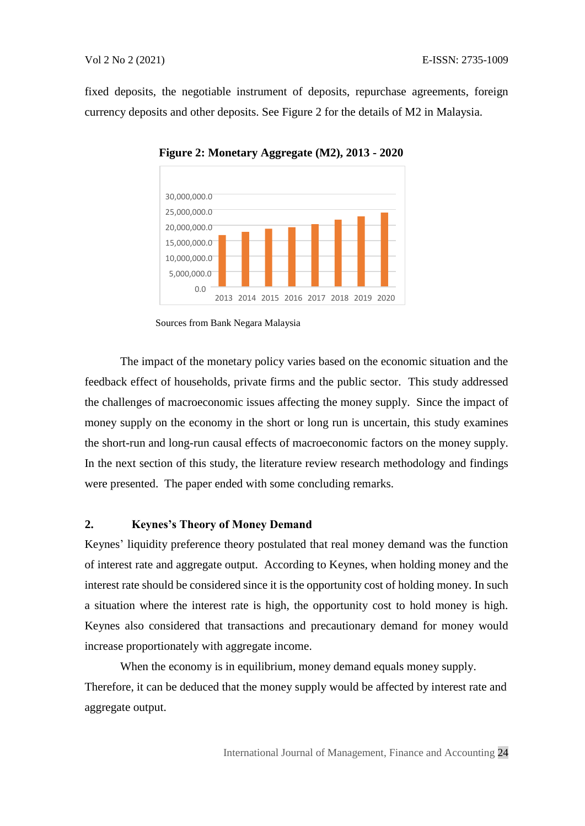fixed deposits, the negotiable instrument of deposits, repurchase agreements, foreign currency deposits and other deposits. See Figure 2 for the details of M2 in Malaysia.



**Figure 2: Monetary Aggregate (M2), 2013 - 2020** 

The impact of the monetary policy varies based on the economic situation and the feedback effect of households, private firms and the public sector. This study addressed the challenges of macroeconomic issues affecting the money supply. Since the impact of money supply on the economy in the short or long run is uncertain, this study examines the short-run and long-run causal effects of macroeconomic factors on the money supply. In the next section of this study, the literature review research methodology and findings were presented. The paper ended with some concluding remarks.

### **2. Keynes's Theory of Money Demand**

Keynes' liquidity preference theory postulated that real money demand was the function of interest rate and aggregate output. According to Keynes, when holding money and the interest rate should be considered since it is the opportunity cost of holding money. In such a situation where the interest rate is high, the opportunity cost to hold money is high. Keynes also considered that transactions and precautionary demand for money would increase proportionately with aggregate income.

When the economy is in equilibrium, money demand equals money supply. Therefore, it can be deduced that the money supply would be affected by interest rate and aggregate output.

Sources from Bank Negara Malaysia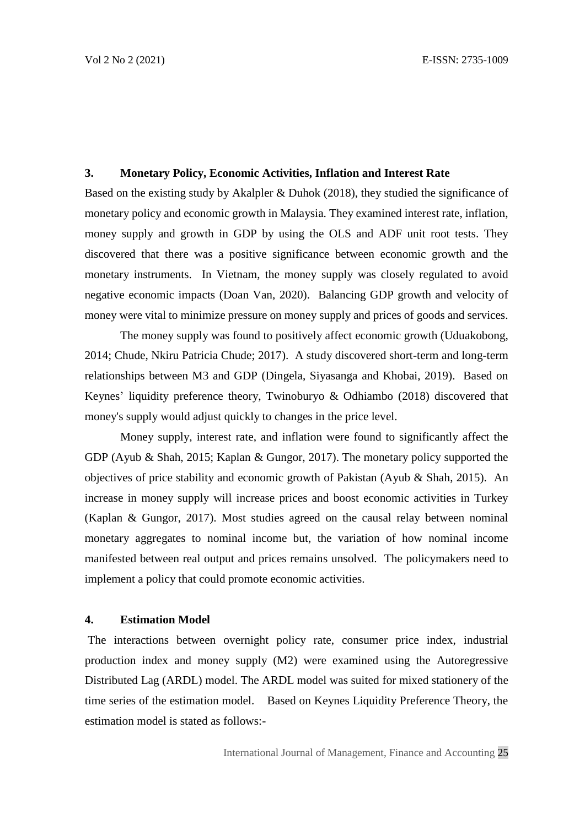#### **3. Monetary Policy, Economic Activities, Inflation and Interest Rate**

Based on the existing study by Akalpler & Duhok (2018), they studied the significance of monetary policy and economic growth in Malaysia. They examined interest rate, inflation, money supply and growth in GDP by using the OLS and ADF unit root tests. They discovered that there was a positive significance between economic growth and the monetary instruments. In Vietnam, the money supply was closely regulated to avoid negative economic impacts (Doan Van, 2020). Balancing GDP growth and velocity of money were vital to minimize pressure on money supply and prices of goods and services.

The money supply was found to positively affect economic growth (Uduakobong, 2014; Chude, Nkiru Patricia Chude; 2017). A study discovered short-term and long-term relationships between M3 and GDP (Dingela, Siyasanga and Khobai, 2019). Based on Keynes' liquidity preference theory, Twinoburyo & Odhiambo (2018) discovered that money's supply would adjust quickly to changes in the price level.

Money supply, interest rate, and inflation were found to significantly affect the GDP (Ayub & Shah, 2015; Kaplan & Gungor, 2017). The monetary policy supported the objectives of price stability and economic growth of Pakistan (Ayub & Shah, 2015). An increase in money supply will increase prices and boost economic activities in Turkey (Kaplan & Gungor, 2017). Most studies agreed on the causal relay between nominal monetary aggregates to nominal income but, the variation of how nominal income manifested between real output and prices remains unsolved.The policymakers need to implement a policy that could promote economic activities.

#### **4. Estimation Model**

The interactions between overnight policy rate, consumer price index, industrial production index and money supply (M2) were examined using the Autoregressive Distributed Lag (ARDL) model. The ARDL model was suited for mixed stationery of the time series of the estimation model. Based on Keynes Liquidity Preference Theory, the estimation model is stated as follows:-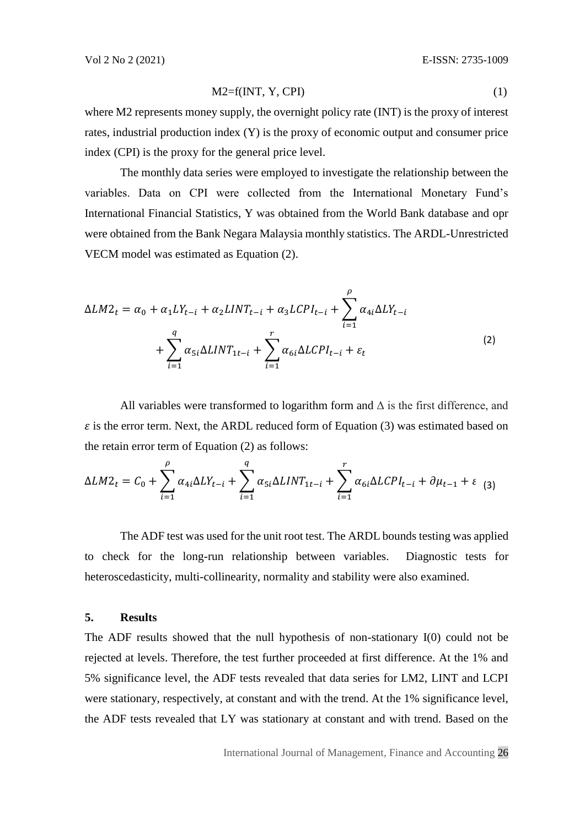$$
M2=f(INT, Y, CPI)
$$
 (1)

where M2 represents money supply, the overnight policy rate (INT) is the proxy of interest rates, industrial production index (Y) is the proxy of economic output and consumer price index (CPI) is the proxy for the general price level.

The monthly data series were employed to investigate the relationship between the variables. Data on CPI were collected from the International Monetary Fund's International Financial Statistics, Y was obtained from the World Bank database and opr were obtained from the Bank Negara Malaysia monthly statistics. The ARDL-Unrestricted VECM model was estimated as Equation (2).

$$
\Delta LM2_t = \alpha_0 + \alpha_1 LY_{t-i} + \alpha_2 LINT_{t-i} + \alpha_3 L CPI_{t-i} + \sum_{i=1}^{\rho} \alpha_{4i} \Delta LY_{t-i} + \sum_{i=1}^{q} \alpha_{5i} \Delta LINT_{1t-i} + \sum_{i=1}^{r} \alpha_{6i} \Delta L CPI_{t-i} + \varepsilon_t
$$
\n(2)

All variables were transformed to logarithm form and  $\Delta$  is the first difference, and  $\varepsilon$  is the error term. Next, the ARDL reduced form of Equation (3) was estimated based on the retain error term of Equation (2) as follows:

$$
\Delta LM2_t = C_0 + \sum_{i=1}^{\rho} \alpha_{4i} \Delta LY_{t-i} + \sum_{i=1}^{q} \alpha_{5i} \Delta LINT_{1t-i} + \sum_{i=1}^{r} \alpha_{6i} \Delta L CPI_{t-i} + \partial \mu_{t-1} + \varepsilon
$$
 (3)

The ADF test was used for the unit root test. The ARDL bounds testing was applied to check for the long-run relationship between variables. Diagnostic tests for heteroscedasticity, multi-collinearity, normality and stability were also examined.

#### **5. Results**

The ADF results showed that the null hypothesis of non-stationary I(0) could not be rejected at levels. Therefore, the test further proceeded at first difference. At the 1% and 5% significance level, the ADF tests revealed that data series for LM2, LINT and LCPI were stationary, respectively, at constant and with the trend. At the 1% significance level, the ADF tests revealed that LY was stationary at constant and with trend. Based on the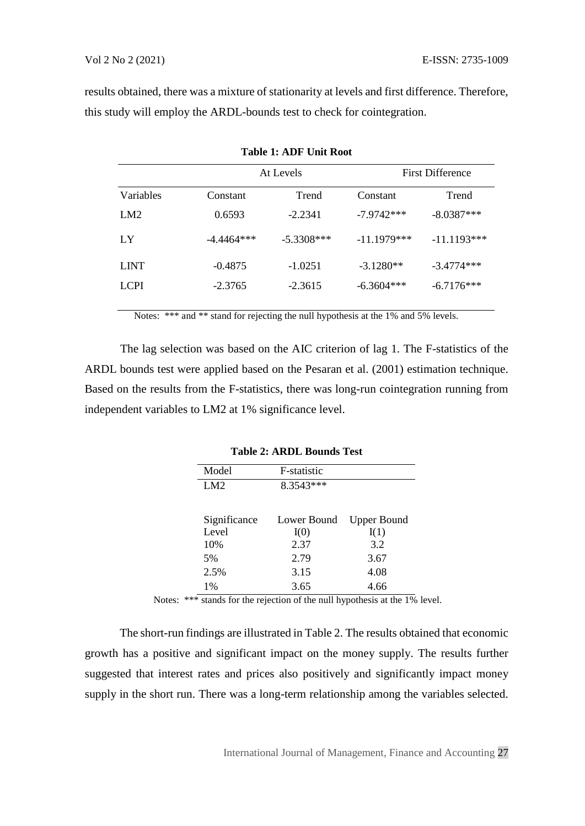results obtained, there was a mixture of stationarity at levels and first difference. Therefore, this study will employ the ARDL-bounds test to check for cointegration.

**Table 1: ADF Unit Root**

| Table 1. ADF UIII NOOL |              |              |               |                         |  |  |  |  |
|------------------------|--------------|--------------|---------------|-------------------------|--|--|--|--|
|                        |              | At Levels    |               | <b>First Difference</b> |  |  |  |  |
| <b>Variables</b>       | Constant     | Trend        | Constant      | Trend                   |  |  |  |  |
| LM2                    | 0.6593       | $-2.2341$    | $-7.9742***$  | $-8.0387***$            |  |  |  |  |
| LY                     | $-4.4464***$ | $-5.3308***$ | $-11.1979***$ | $-11.1193***$           |  |  |  |  |
| <b>LINT</b>            | $-0.4875$    | $-1.0251$    | $-3.1280**$   | $-3.4774***$            |  |  |  |  |
| <b>LCPI</b>            | $-2.3765$    | $-2.3615$    | $-6.3604***$  | $-6.7176***$            |  |  |  |  |
|                        |              |              |               |                         |  |  |  |  |

Notes: \*\*\* and \*\* stand for rejecting the null hypothesis at the 1% and 5% levels.

The lag selection was based on the AIC criterion of lag 1. The F-statistics of the ARDL bounds test were applied based on the Pesaran et al. (2001) estimation technique. Based on the results from the F-statistics, there was long-run cointegration running from independent variables to LM2 at 1% significance level.

| Model        | F-statistic |                    |
|--------------|-------------|--------------------|
| LM2          | 8.3543***   |                    |
| Significance | Lower Bound | <b>Upper Bound</b> |
| Level        | I(0)        | I(1)               |
| 10%          | 2.37        | 3.2                |
| 5%           | 2.79        | 3.67               |
| 2.5%         | 3.15        | 4.08               |
| 1%           | 3.65        | 4.66               |

**Table 2: ARDL Bounds Test**

Notes: \*\*\* stands for the rejection of the null hypothesis at the 1% level.

The short-run findings are illustrated in Table 2. The results obtained that economic growth has a positive and significant impact on the money supply. The results further suggested that interest rates and prices also positively and significantly impact money supply in the short run. There was a long-term relationship among the variables selected.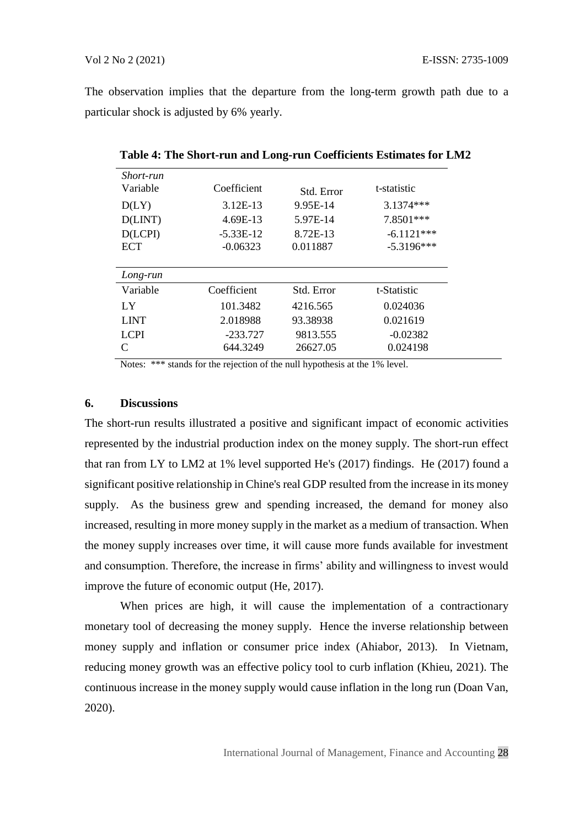The observation implies that the departure from the long-term growth path due to a particular shock is adjusted by 6% yearly.

| Short-run<br>Variable | Coefficient | Std. Error | t-statistic  |
|-----------------------|-------------|------------|--------------|
| D(LY)                 | 3.12E-13    | 9.95E-14   | 3.1374***    |
| D(LINT)               | 4.69E-13    | 5.97E-14   | 7.8501***    |
| D(LCPI)               | $-5.33E-12$ | 8.72E-13   | $-6.1121***$ |
| <b>ECT</b>            | $-0.06323$  | 0.011887   | $-5.3196***$ |
|                       |             |            |              |
| Long-run              |             |            |              |
| Variable              | Coefficient | Std. Error | t-Statistic  |
|                       |             |            |              |
| LY                    | 101.3482    | 4216.565   | 0.024036     |
| <b>LINT</b>           | 2.018988    | 93.38938   | 0.021619     |
| LCPI                  | $-233.727$  | 9813.555   | $-0.02382$   |

**Table 4: The Short-run and Long-run Coefficients Estimates for LM2** 

Notes: \*\*\* stands for the rejection of the null hypothesis at the 1% level.

#### **6. Discussions**

The short-run results illustrated a positive and significant impact of economic activities represented by the industrial production index on the money supply. The short-run effect that ran from LY to LM2 at 1% level supported He's (2017) findings. He (2017) found a significant positive relationship in Chine's real GDP resulted from the increase in its money supply. As the business grew and spending increased, the demand for money also increased, resulting in more money supply in the market as a medium of transaction. When the money supply increases over time, it will cause more funds available for investment and consumption. Therefore, the increase in firms' ability and willingness to invest would improve the future of economic output (He, 2017).

When prices are high, it will cause the implementation of a contractionary monetary tool of decreasing the money supply. Hence the inverse relationship between money supply and inflation or consumer price index (Ahiabor, 2013). In Vietnam, reducing money growth was an effective policy tool to curb inflation (Khieu, 2021). The continuous increase in the money supply would cause inflation in the long run (Doan Van, 2020).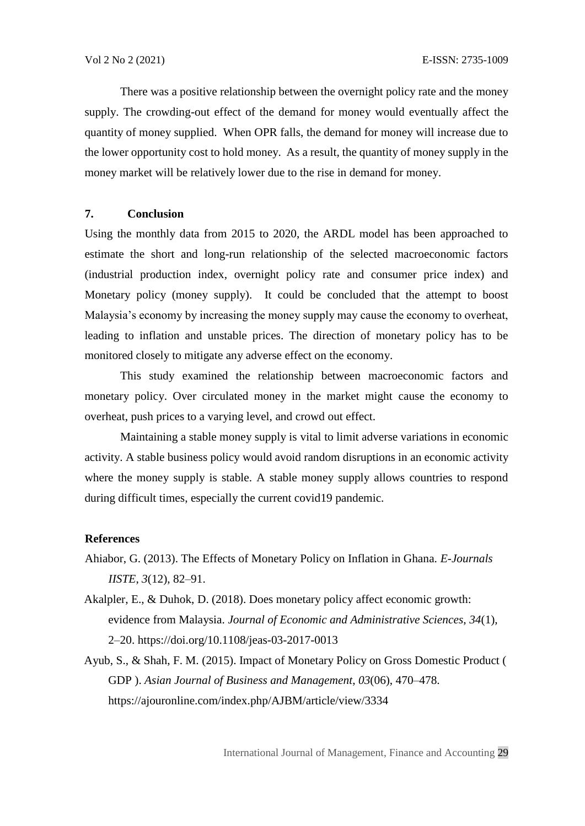There was a positive relationship between the overnight policy rate and the money supply. The crowding-out effect of the demand for money would eventually affect the quantity of money supplied. When OPR falls, the demand for money will increase due to the lower opportunity cost to hold money. As a result, the quantity of money supply in the money market will be relatively lower due to the rise in demand for money.

#### **7. Conclusion**

Using the monthly data from 2015 to 2020, the ARDL model has been approached to estimate the short and long-run relationship of the selected macroeconomic factors (industrial production index, overnight policy rate and consumer price index) and Monetary policy (money supply). It could be concluded that the attempt to boost Malaysia's economy by increasing the money supply may cause the economy to overheat, leading to inflation and unstable prices. The direction of monetary policy has to be monitored closely to mitigate any adverse effect on the economy.

This study examined the relationship between macroeconomic factors and monetary policy. Over circulated money in the market might cause the economy to overheat, push prices to a varying level, and crowd out effect.

Maintaining a stable money supply is vital to limit adverse variations in economic activity. A stable business policy would avoid random disruptions in an economic activity where the money supply is stable. A stable money supply allows countries to respond during difficult times, especially the current covid19 pandemic.

#### **References**

- Ahiabor, G. (2013). The Effects of Monetary Policy on Inflation in Ghana. *E-Journals IISTE*, *3*(12), 82–91.
- Akalpler, E., & Duhok, D. (2018). Does monetary policy affect economic growth: evidence from Malaysia. *Journal of Economic and Administrative Sciences*, *34*(1), 2–20. https://doi.org/10.1108/jeas-03-2017-0013
- Ayub, S., & Shah, F. M. (2015). Impact of Monetary Policy on Gross Domestic Product ( GDP ). *Asian Journal of Business and Management*, *03*(06), 470–478. <https://ajouronline.com/index.php/AJBM/article/view/3334>